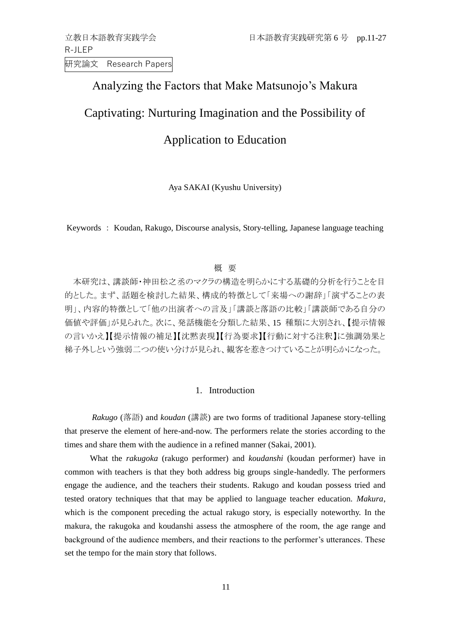R-JLEP 研究論文 Research Papers

## Analyzing the Factors that Make Matsunojo's Makura

## Captivating: Nurturing Imagination and the Possibility of

# Application to Education

Aya SAKAI (Kyushu University)

Keywords : Koudan, Rakugo, Discourse analysis, Story-telling, Japanese language teaching

## 概 要

本研究は、講談師・神田松之丞のマクラの構造を明らかにする基礎的分析を行うことを目 的とした。まず、話題を検討した結果、構成的特徴として「来場への謝辞」「演ずることの表 明」、内容的特徴として「他の出演者への言及」「講談と落語の比較」「講談師である自分の 価値や評価」が見られた。次に、発話機能を分類した結果、15 種類に大別され、【提示情報 の言いかえ】【提示情報の補足】【沈黙表現】【行為要求】【行動に対する注釈】に強調効果と 梯子外しという強弱二つの使い分けが見られ、観客を惹きつけていることが明らかになった。

## 1. Introduction

*Rakugo* (落語) and *koudan* (講談) are two forms of traditional Japanese story-telling that preserve the element of here-and-now. The performers relate the stories according to the times and share them with the audience in a refined manner (Sakai, 2001).

What the *rakugoka* (rakugo performer) and *koudanshi* (koudan performer) have in common with teachers is that they both address big groups single-handedly. The performers engage the audience, and the teachers their students. Rakugo and koudan possess tried and tested oratory techniques that that may be applied to language teacher education. *Makura*, which is the component preceding the actual rakugo story, is especially noteworthy. In the makura, the rakugoka and koudanshi assess the atmosphere of the room, the age range and background of the audience members, and their reactions to the performer's utterances. These set the tempo for the main story that follows.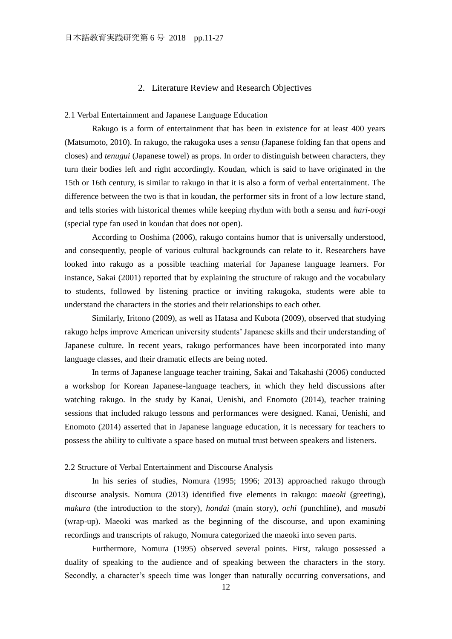## 2. Literature Review and Research Objectives

#### 2.1 Verbal Entertainment and Japanese Language Education

Rakugo is a form of entertainment that has been in existence for at least 400 years (Matsumoto, 2010). In rakugo, the rakugoka uses a *sensu* (Japanese folding fan that opens and closes) and *tenugui* (Japanese towel) as props. In order to distinguish between characters, they turn their bodies left and right accordingly. Koudan, which is said to have originated in the 15th or 16th century, is similar to rakugo in that it is also a form of verbal entertainment. The difference between the two is that in koudan, the performer sits in front of a low lecture stand, and tells stories with historical themes while keeping rhythm with both a sensu and *hari-oogi* (special type fan used in koudan that does not open).

According to Ooshima (2006), rakugo contains humor that is universally understood, and consequently, people of various cultural backgrounds can relate to it. Researchers have looked into rakugo as a possible teaching material for Japanese language learners. For instance, Sakai (2001) reported that by explaining the structure of rakugo and the vocabulary to students, followed by listening practice or inviting rakugoka, students were able to understand the characters in the stories and their relationships to each other.

Similarly, Iritono (2009), as well as Hatasa and Kubota (2009), observed that studying rakugo helps improve American university students' Japanese skills and their understanding of Japanese culture. In recent years, rakugo performances have been incorporated into many language classes, and their dramatic effects are being noted.

In terms of Japanese language teacher training, Sakai and Takahashi (2006) conducted a workshop for Korean Japanese-language teachers, in which they held discussions after watching rakugo. In the study by Kanai, Uenishi, and Enomoto (2014), teacher training sessions that included rakugo lessons and performances were designed. Kanai, Uenishi, and Enomoto (2014) asserted that in Japanese language education, it is necessary for teachers to possess the ability to cultivate a space based on mutual trust between speakers and listeners.

#### 2.2 Structure of Verbal Entertainment and Discourse Analysis

In his series of studies, Nomura (1995; 1996; 2013) approached rakugo through discourse analysis. Nomura (2013) identified five elements in rakugo: *maeoki* (greeting), *makura* (the introduction to the story), *hondai* (main story), *ochi* (punchline), and *musubi* (wrap-up). Maeoki was marked as the beginning of the discourse, and upon examining recordings and transcripts of rakugo, Nomura categorized the maeoki into seven parts.

Furthermore, Nomura (1995) observed several points. First, rakugo possessed a duality of speaking to the audience and of speaking between the characters in the story. Secondly, a character's speech time was longer than naturally occurring conversations, and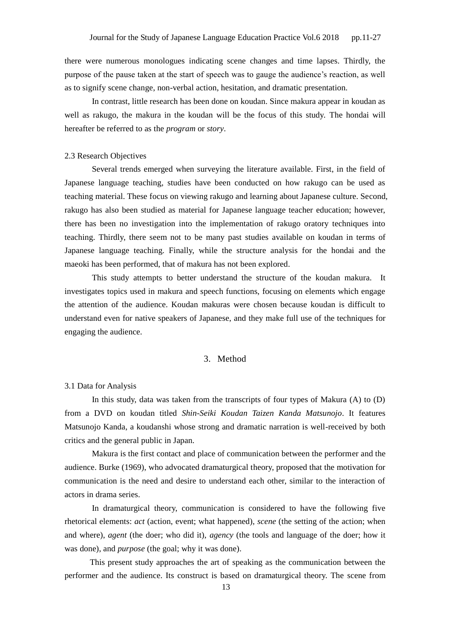there were numerous monologues indicating scene changes and time lapses. Thirdly, the purpose of the pause taken at the start of speech was to gauge the audience's reaction, as well as to signify scene change, non-verbal action, hesitation, and dramatic presentation.

In contrast, little research has been done on koudan. Since makura appear in koudan as well as rakugo, the makura in the koudan will be the focus of this study. The hondai will hereafter be referred to as the *program* or *story*.

## 2.3 Research Objectives

Several trends emerged when surveying the literature available. First, in the field of Japanese language teaching, studies have been conducted on how rakugo can be used as teaching material. These focus on viewing rakugo and learning about Japanese culture. Second, rakugo has also been studied as material for Japanese language teacher education; however, there has been no investigation into the implementation of rakugo oratory techniques into teaching. Thirdly, there seem not to be many past studies available on koudan in terms of Japanese language teaching. Finally, while the structure analysis for the hondai and the maeoki has been performed, that of makura has not been explored.

This study attempts to better understand the structure of the koudan makura. It investigates topics used in makura and speech functions, focusing on elements which engage the attention of the audience. Koudan makuras were chosen because koudan is difficult to understand even for native speakers of Japanese, and they make full use of the techniques for engaging the audience.

## 3. Method

3.1 Data for Analysis

In this study, data was taken from the transcripts of four types of Makura (A) to (D) from a DVD on koudan titled *Shin-Seiki Koudan Taizen Kanda Matsunojo*. It features Matsunojo Kanda, a koudanshi whose strong and dramatic narration is well-received by both critics and the general public in Japan.

Makura is the first contact and place of communication between the performer and the audience. Burke (1969), who advocated dramaturgical theory, proposed that the motivation for communication is the need and desire to understand each other, similar to the interaction of actors in drama series.

In dramaturgical theory, communication is considered to have the following five rhetorical elements: *act* (action, event; what happened), *scene* (the setting of the action; when and where), *agent* (the doer; who did it), *agency* (the tools and language of the doer; how it was done), and *purpose* (the goal; why it was done).

This present study approaches the art of speaking as the communication between the performer and the audience. Its construct is based on dramaturgical theory. The scene from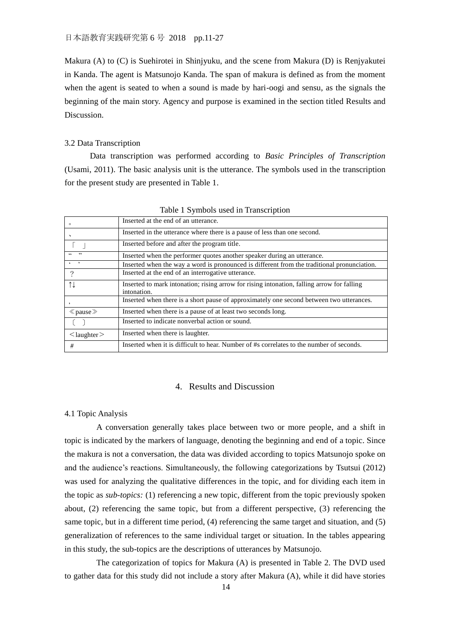Makura (A) to (C) is Suehirotei in Shinjyuku, and the scene from Makura (D) is Renjyakutei in Kanda. The agent is Matsunojo Kanda. The span of makura is defined as from the moment when the agent is seated to when a sound is made by hari-oogi and sensu, as the signals the beginning of the main story. Agency and purpose is examined in the section titled Results and **Discussion** 

### 3.2 Data Transcription

Data transcription was performed according to *Basic Principles of Transcription* (Usami, 2011). The basic analysis unit is the utterance. The symbols used in the transcription for the present study are presented in Table 1.

| $\circ$                                       | Inserted at the end of an utterance.                                                                      |
|-----------------------------------------------|-----------------------------------------------------------------------------------------------------------|
|                                               | Inserted in the utterance where there is a pause of less than one second.                                 |
|                                               | Inserted before and after the program title.                                                              |
| $66 - 22$                                     | Inserted when the performer quotes another speaker during an utterance.                                   |
| $\leftarrow$                                  | Inserted when the way a word is pronounced is different from the traditional pronunciation.               |
| $\mathcal{P}$                                 | Inserted at the end of an interrogative utterance.                                                        |
| $\uparrow \downarrow$                         | Inserted to mark intonation; rising arrow for rising intonation, falling arrow for falling<br>intonation. |
|                                               | Inserted when there is a short pause of approximately one second between two utterances.                  |
| $\ll$ pause $\gg$                             | Inserted when there is a pause of at least two seconds long.                                              |
| $\left( \begin{array}{c} \end{array} \right)$ | Inserted to indicate nonverbal action or sound.                                                           |
| $\leq$ laughter $\geq$                        | Inserted when there is laughter.                                                                          |
| #                                             | Inserted when it is difficult to hear. Number of #s correlates to the number of seconds.                  |

Table 1 Symbols used in Transcription

## 4. Results and Discussion

## 4.1 Topic Analysis

 A conversation generally takes place between two or more people, and a shift in topic is indicated by the markers of language, denoting the beginning and end of a topic. Since the makura is not a conversation, the data was divided according to topics Matsunojo spoke on and the audience's reactions. Simultaneously, the following categorizations by Tsutsui (2012) was used for analyzing the qualitative differences in the topic, and for dividing each item in the topic as *sub-topics:* (1) referencing a new topic, different from the topic previously spoken about, (2) referencing the same topic, but from a different perspective, (3) referencing the same topic, but in a different time period, (4) referencing the same target and situation, and (5) generalization of references to the same individual target or situation. In the tables appearing in this study, the sub-topics are the descriptions of utterances by Matsunojo.

 The categorization of topics for Makura (A) is presented in Table 2. The DVD used to gather data for this study did not include a story after Makura (A), while it did have stories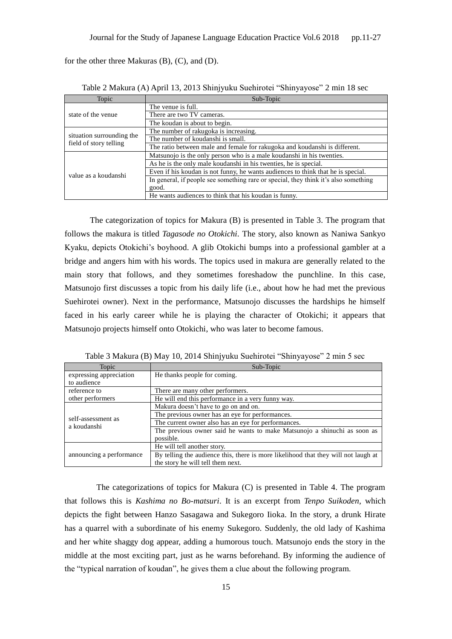for the other three Makuras (B), (C), and (D).

| Topic                                               | Sub-Topic                                                                           |
|-----------------------------------------------------|-------------------------------------------------------------------------------------|
|                                                     | The venue is full.                                                                  |
| state of the venue                                  | There are two TV cameras.                                                           |
|                                                     | The koudan is about to begin.                                                       |
|                                                     | The number of rakugoka is increasing.                                               |
| situation surrounding the<br>field of story telling | The number of koudanshi is small.                                                   |
|                                                     | The ratio between male and female for rakugoka and koudanshi is different.          |
|                                                     | Matsunojo is the only person who is a male koudanshi in his twenties.               |
|                                                     | As he is the only male koudanshi in his twenties, he is special.                    |
| value as a koudanshi                                | Even if his koudan is not funny, he wants audiences to think that he is special.    |
|                                                     | In general, if people see something rare or special, they think it's also something |
|                                                     | good.                                                                               |
|                                                     | He wants audiences to think that his koudan is funny.                               |

Table 2 Makura (A) April 13, 2013 Shinjyuku Suehirotei "Shinyayose" 2 min 18 sec

The categorization of topics for Makura (B) is presented in Table 3. The program that follows the makura is titled *Tagasode no Otokichi.* The story, also known as Naniwa Sankyo Kyaku, depicts Otokichi's boyhood. A glib Otokichi bumps into a professional gambler at a bridge and angers him with his words. The topics used in makura are generally related to the main story that follows, and they sometimes foreshadow the punchline. In this case, Matsunojo first discusses a topic from his daily life (i.e., about how he had met the previous Suehirotei owner). Next in the performance, Matsunojo discusses the hardships he himself faced in his early career while he is playing the character of Otokichi; it appears that Matsunojo projects himself onto Otokichi, who was later to become famous.

Table 3 Makura (B) May 10, 2014 Shinjyuku Suehirotei "Shinyayose" 2 min 5 sec

| Topic                    | Sub-Topic                                                                          |
|--------------------------|------------------------------------------------------------------------------------|
| expressing appreciation  | He thanks people for coming.                                                       |
| to audience              |                                                                                    |
| reference to             | There are many other performers.                                                   |
| other performers         | He will end this performance in a very funny way.                                  |
|                          | Makura doesn't have to go on and on.                                               |
| self-assessment as       | The previous owner has an eye for performances.                                    |
| a koudanshi              | The current owner also has an eye for performances.                                |
|                          | The previous owner said he wants to make Matsunojo a shinuchi as soon as           |
|                          | possible.                                                                          |
|                          | He will tell another story.                                                        |
| announcing a performance | By telling the audience this, there is more likelihood that they will not laugh at |
|                          | the story he will tell them next.                                                  |

The categorizations of topics for Makura (C) is presented in Table 4. The program that follows this is *Kashima no Bo-matsuri*. It is an excerpt from *Tenpo Suikoden,* which depicts the fight between Hanzo Sasagawa and Sukegoro Iioka. In the story, a drunk Hirate has a quarrel with a subordinate of his enemy Sukegoro. Suddenly, the old lady of Kashima and her white shaggy dog appear, adding a humorous touch. Matsunojo ends the story in the middle at the most exciting part, just as he warns beforehand. By informing the audience of the "typical narration of koudan", he gives them a clue about the following program.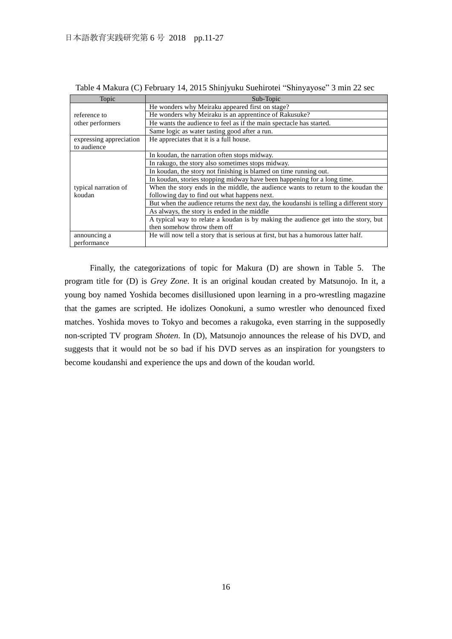| Topic                   | Sub-Topic                                                                              |
|-------------------------|----------------------------------------------------------------------------------------|
|                         | He wonders why Meiraku appeared first on stage?                                        |
| reference to            | He wonders why Meiraku is an apprentince of Rakusuke?                                  |
| other performers        | He wants the audience to feel as if the main spectacle has started.                    |
|                         | Same logic as water tasting good after a run.                                          |
| expressing appreciation | He appreciates that it is a full house.                                                |
| to audience             |                                                                                        |
|                         | In koudan, the narration often stops midway.                                           |
|                         | In rakugo, the story also sometimes stops midway.                                      |
|                         | In koudan, the story not finishing is blamed on time running out.                      |
|                         | In koudan, stories stopping midway have been happening for a long time.                |
| typical narration of    | When the story ends in the middle, the audience wants to return to the koudan the      |
| koudan                  | following day to find out what happens next.                                           |
|                         | But when the audience returns the next day, the koudanshi is telling a different story |
|                         | As always, the story is ended in the middle                                            |
|                         | A typical way to relate a koudan is by making the audience get into the story, but     |
|                         | then somehow throw them off                                                            |
| announcing a            | He will now tell a story that is serious at first, but has a humorous latter half.     |
| performance             |                                                                                        |

Table 4 Makura (C) February 14, 2015 Shinjyuku Suehirotei "Shinyayose" 3 min 22 sec

Finally, the categorizations of topic for Makura (D) are shown in Table 5. The program title for (D) is *Grey Zone*. It is an original koudan created by Matsunojo. In it, a young boy named Yoshida becomes disillusioned upon learning in a pro-wrestling magazine that the games are scripted. He idolizes Oonokuni, a sumo wrestler who denounced fixed matches. Yoshida moves to Tokyo and becomes a rakugoka, even starring in the supposedly non-scripted TV program *Shoten*. In (D), Matsunojo announces the release of his DVD, and suggests that it would not be so bad if his DVD serves as an inspiration for youngsters to become koudanshi and experience the ups and down of the koudan world.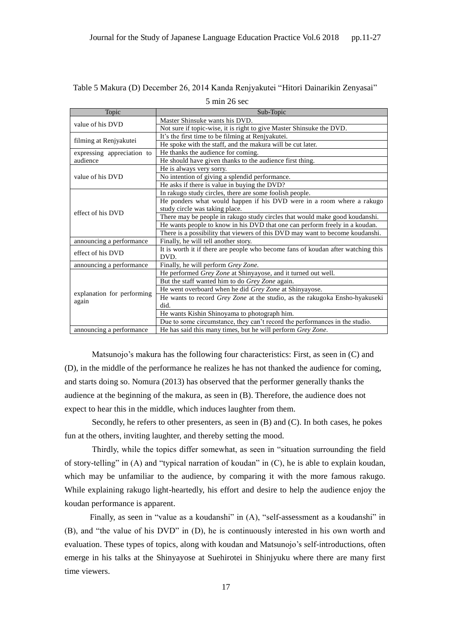| Topic                      | Sub-Topic                                                                                |
|----------------------------|------------------------------------------------------------------------------------------|
| value of his DVD           | Master Shinsuke wants his DVD.                                                           |
|                            | Not sure if topic-wise, it is right to give Master Shinsuke the DVD.                     |
| filming at Renjyakutei     | It's the first time to be filming at Renjyakutei.                                        |
|                            | He spoke with the staff, and the makura will be cut later.                               |
| expressing appreciation to | He thanks the audience for coming.                                                       |
| audience                   | He should have given thanks to the audience first thing.                                 |
|                            | He is always very sorry.                                                                 |
| value of his DVD           | No intention of giving a splendid performance.                                           |
|                            | He asks if there is value in buying the DVD?                                             |
|                            | In rakugo study circles, there are some foolish people.                                  |
|                            | He ponders what would happen if his DVD were in a room where a rakugo                    |
| effect of his DVD          | study circle was taking place.                                                           |
|                            | There may be people in rakugo study circles that would make good koudanshi.              |
|                            | He wants people to know in his DVD that one can perform freely in a koudan.              |
|                            | There is a possibility that viewers of this DVD may want to become koudanshi.            |
| announcing a performance   | Finally, he will tell another story.                                                     |
| effect of his DVD          | It is worth it if there are people who become fans of koudan after watching this<br>DVD. |
| announcing a performance   | Finally, he will perform Grey Zone.                                                      |
|                            | He performed Grey Zone at Shinyayose, and it turned out well.                            |
|                            | But the staff wanted him to do Grey Zone again.                                          |
|                            | He went overboard when he did Grey Zone at Shinyayose.                                   |
| explanation for performing | He wants to record Grey Zone at the studio, as the rakugoka Ensho-hyakuseki              |
| again                      | did.                                                                                     |
|                            | He wants Kishin Shinoyama to photograph him.                                             |
|                            | Due to some circumstance, they can't record the performances in the studio.              |
| announcing a performance   | He has said this many times, but he will perform Grey Zone.                              |

Table 5 Makura (D) December 26, 2014 Kanda Renjyakutei "Hitori Dainarikin Zenyasai"

5 min 26 sec

Matsunojo's makura has the following four characteristics: First, as seen in (C) and (D), in the middle of the performance he realizes he has not thanked the audience for coming, and starts doing so. Nomura (2013) has observed that the performer generally thanks the audience at the beginning of the makura, as seen in (B). Therefore, the audience does not expect to hear this in the middle, which induces laughter from them.

Secondly, he refers to other presenters, as seen in (B) and (C). In both cases, he pokes fun at the others, inviting laughter, and thereby setting the mood.

Thirdly, while the topics differ somewhat, as seen in "situation surrounding the field of story-telling" in (A) and "typical narration of koudan" in (C), he is able to explain koudan, which may be unfamiliar to the audience, by comparing it with the more famous rakugo. While explaining rakugo light-heartedly, his effort and desire to help the audience enjoy the koudan performance is apparent.

Finally, as seen in "value as a koudanshi" in (A), "self-assessment as a koudanshi" in (B), and "the value of his DVD" in (D), he is continuously interested in his own worth and evaluation. These types of topics, along with koudan and Matsunojo's self-introductions, often emerge in his talks at the Shinyayose at Suehirotei in Shinjyuku where there are many first time viewers.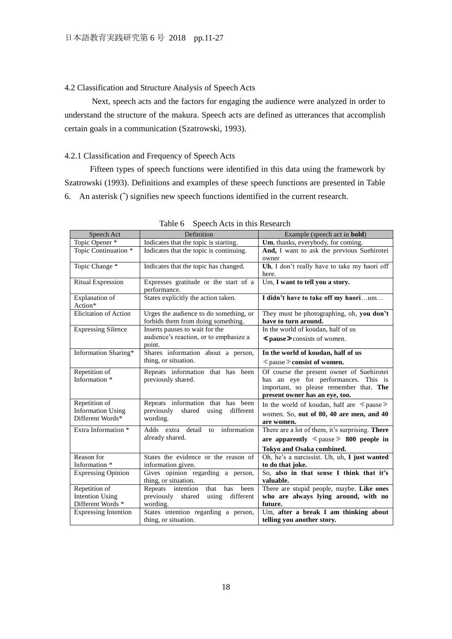## 4.2 Classification and Structure Analysis of Speech Acts

Next, speech acts and the factors for engaging the audience were analyzed in order to understand the structure of the makura. Speech acts are defined as utterances that accomplish certain goals in a communication (Szatrowski, 1993).

## 4.2.1 Classification and Frequency of Speech Acts

Fifteen types of speech functions were identified in this data using the framework by Szatrowski (1993). Definitions and examples of these speech functions are presented in Table 6. An asterisk (\* ) signifies new speech functions identified in the current research.

| Speech Act                                   | Definition                                             | Example (speech act in <b>bold</b> )               |
|----------------------------------------------|--------------------------------------------------------|----------------------------------------------------|
| Topic Opener *                               | Indicates that the topic is starting.                  | Um, thanks, everybody, for coming.                 |
| Topic Continuation *                         | Indicates that the topic is continuing.                | And, I want to ask the previous Suehirotei         |
|                                              |                                                        | owner                                              |
| Topic Change *                               | Indicates that the topic has changed.                  | Uh, I don't really have to take my haori off       |
|                                              |                                                        | here.                                              |
| <b>Ritual Expression</b>                     | Expresses gratitude or the start of a                  | Um, I want to tell you a story.                    |
|                                              | performance.                                           |                                                    |
| Explanation of                               | States explicitly the action taken.                    | I didn't have to take off my haorium               |
| Action*                                      |                                                        |                                                    |
| <b>Elicitation of Action</b>                 | Urges the audience to do something, or                 | They must be photographing, oh, you don't          |
|                                              | forbids them from doing something.                     | have to turn around.                               |
| <b>Expressing Silence</b>                    | Inserts pauses to wait for the                         | In the world of koudan, half of us                 |
|                                              | audience's reaction, or to emphasize a<br>point.       | <b>≪ pause</b> > consists of women.                |
| Information Sharing*                         | Shares information about a person,                     | In the world of koudan, half of us                 |
|                                              | thing, or situation.                                   |                                                    |
|                                              |                                                        | $\ll$ pause $\gg$ consist of women.                |
| Repetition of                                | Repeats information that has been                      | Of course the present owner of Suehirotei          |
| Information *                                | previously shared.                                     | has an eye for performances. This is               |
|                                              |                                                        | important, so please remember that. The            |
|                                              |                                                        | present owner has an eye, too.                     |
| Repetition of                                | Repeats information that has been                      | In the world of koudan, half are $\ll$ pause $\gg$ |
| <b>Information Using</b><br>Different Words* | previously<br>shared<br>using<br>different<br>wording. | women. So, out of 80, 40 are men, and 40           |
|                                              |                                                        | are women.                                         |
| Extra Information *                          | Adds extra detail<br>information<br>to                 | There are a lot of them, it's surprising. There    |
|                                              | already shared.                                        | are apparently $\ll$ pause $\gg$ 800 people in     |
|                                              |                                                        | Tokyo and Osaka combined.                          |
| Reason for                                   | States the evidence or the reason of                   | Oh, he's a narcissist. Uh, uh, I just wanted       |
| Information *                                | information given.                                     | to do that joke.                                   |
| <b>Expressing Opinion</b>                    | Gives opinion regarding a person,                      | So, also in that sense I think that it's           |
|                                              | thing, or situation.                                   | valuable.                                          |
| Repetition of                                | has<br>been<br>Repeats intention<br>that               | There are stupid people, maybe. Like ones          |
| <b>Intention Using</b>                       | shared<br>different<br>previously<br>using             | who are always lying around, with no               |
| Different Words *                            | wording.                                               | future.                                            |
| <b>Expressing Intention</b>                  | States intention regarding a person,                   | Um, after a break I am thinking about              |
|                                              | thing, or situation.                                   | telling you another story.                         |

| Table 6 Speech Acts in this Research |  |  |  |  |
|--------------------------------------|--|--|--|--|
|--------------------------------------|--|--|--|--|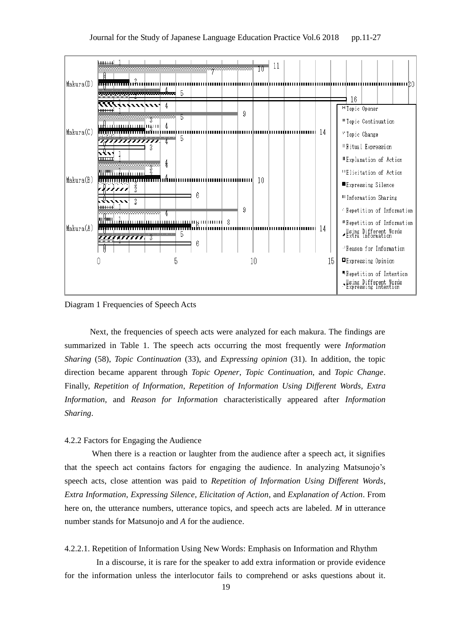

Diagram 1 Frequencies of Speech Acts

Next, the frequencies of speech acts were analyzed for each makura. The findings are summarized in Table 1. The speech acts occurring the most frequently were *Information Sharing* (58), *Topic Continuation* (33), and *Expressing opinion* (31). In addition, the topic direction became apparent through *Topic Opener*, *Topic Continuation*, and *Topic Change*. Finally, *Repetition of Information*, *Repetition of Information Using Different Words*, *Extra Information*, and *Reason for Information* characteristically appeared after *Information Sharing*.

## 4.2.2 Factors for Engaging the Audience

When there is a reaction or laughter from the audience after a speech act, it signifies that the speech act contains factors for engaging the audience. In analyzing Matsunojo's speech acts, close attention was paid to *Repetition of Information Using Different Words*, *Extra Information*, *Expressing Silence*, *Elicitation of Action*, and *Explanation of Action*. From here on, the utterance numbers, utterance topics, and speech acts are labeled. *M* in utterance number stands for Matsunojo and *A* for the audience.

4.2.2.1. Repetition of Information Using New Words: Emphasis on Information and Rhythm

In a discourse, it is rare for the speaker to add extra information or provide evidence for the information unless the interlocutor fails to comprehend or asks questions about it.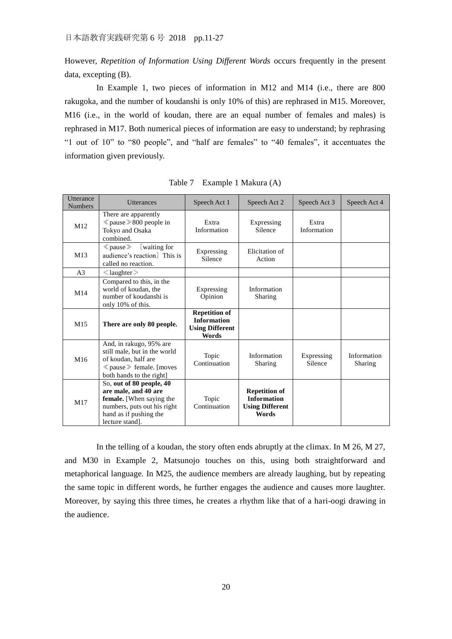However, *Repetition of Information Using Different Words* occurs frequently in the present data, excepting (B).

In Example 1, two pieces of information in M12 and M14 (i.e., there are 800 rakugoka, and the number of koudanshi is only 10% of this) are rephrased in M15. Moreover, M16 (i.e., in the world of koudan, there are an equal number of females and males) is rephrased in M17. Both numerical pieces of information are easy to understand; by rephrasing "1 out of 10" to "80 people", and "half are females" to "40 females", it accentuates the information given previously.

| <b>Utterance</b><br><b>Numbers</b> | <b>Utterances</b>                                                                                                                                        | Speech Act 1                                                                  | Speech Act 2                                                                  | Speech Act 3          | Speech Act 4           |
|------------------------------------|----------------------------------------------------------------------------------------------------------------------------------------------------------|-------------------------------------------------------------------------------|-------------------------------------------------------------------------------|-----------------------|------------------------|
| M12                                | There are apparently<br>$\langle$ pause $\gg$ 800 people in<br>Tokyo and Osaka<br>combined.                                                              | Extra<br>Information                                                          | Expressing<br>Silence                                                         | Extra<br>Information  |                        |
| M13                                | (waiting for<br>$\ll$ pause $\gg$<br>audience's reaction] This is<br>called no reaction.                                                                 | Expressing<br>Silence                                                         | Elicitation of<br>Action                                                      |                       |                        |
| A <sub>3</sub>                     | $\langle$ laughter $\rangle$                                                                                                                             |                                                                               |                                                                               |                       |                        |
| M <sub>14</sub>                    | Compared to this, in the<br>world of koudan, the<br>number of koudanshi is<br>only 10% of this.                                                          | Expressing<br>Opinion                                                         | Information<br>Sharing                                                        |                       |                        |
| M <sub>15</sub>                    | There are only 80 people.                                                                                                                                | <b>Repetition of</b><br><b>Information</b><br><b>Using Different</b><br>Words |                                                                               |                       |                        |
| M <sub>16</sub>                    | And, in rakugo, 95% are<br>still male, but in the world<br>of koudan, half are<br>≪ pause ≫ female. [moves<br>both hands to the right]                   | Topic<br>Continuation                                                         | Information<br>Sharing                                                        | Expressing<br>Silence | Information<br>Sharing |
| M17                                | So, out of 80 people, 40<br>are male, and 40 are<br>female. [When saying the<br>numbers, puts out his right<br>hand as if pushing the<br>lecture stand]. | Topic<br>Continuation                                                         | <b>Repetition of</b><br><b>Information</b><br><b>Using Different</b><br>Words |                       |                        |

Table 7 Example 1 Makura (A)

In the telling of a koudan, the story often ends abruptly at the climax. In M 26, M 27, and M30 in Example 2, Matsunojo touches on this, using both straightforward and metaphorical language. In M25, the audience members are already laughing, but by repeating the same topic in different words, he further engages the audience and causes more laughter. Moreover, by saying this three times, he creates a rhythm like that of a hari-oogi drawing in the audience.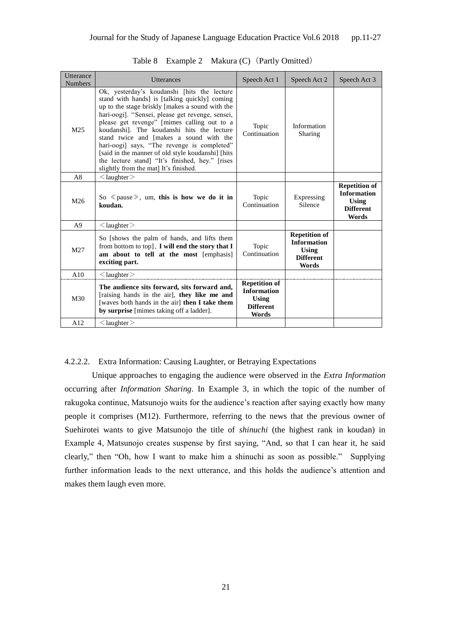| Utterance<br><b>Numbers</b> | Utterances                                                                                                                                                                                                                                                                                                                                                                                                                                                                                                                                   | Speech Act 1                                                                            | Speech Act 2                                                                            | Speech Act 3                                                                            |
|-----------------------------|----------------------------------------------------------------------------------------------------------------------------------------------------------------------------------------------------------------------------------------------------------------------------------------------------------------------------------------------------------------------------------------------------------------------------------------------------------------------------------------------------------------------------------------------|-----------------------------------------------------------------------------------------|-----------------------------------------------------------------------------------------|-----------------------------------------------------------------------------------------|
| M <sub>25</sub>             | Ok, yesterday's koudanshi [hits the lecture<br>stand with hands] is [talking quickly] coming<br>up to the stage briskly [makes a sound with the<br>hari-oogi]. "Sensei, please get revenge, sensei,<br>please get revenge" [mimes calling out to a<br>koudanshi]. The koudanshi hits the lecture<br>stand twice and [makes a sound with the<br>hari-oogi] says, "The revenge is completed"<br>[said in the manner of old style koudanshi] [hits]<br>the lecture stand] "It's finished, hey." [rises<br>slightly from the mat] It's finished. | Topic<br>Continuation                                                                   | Information<br>Sharing                                                                  |                                                                                         |
| A8                          | $\langle$ laughter $\rangle$                                                                                                                                                                                                                                                                                                                                                                                                                                                                                                                 |                                                                                         |                                                                                         |                                                                                         |
| M26                         | So $\ll$ pause $\gg$ , um, this is how we do it in<br>koudan.                                                                                                                                                                                                                                                                                                                                                                                                                                                                                | Topic<br>Continuation                                                                   | Expressing<br>Silence                                                                   | <b>Repetition of</b><br><b>Information</b><br><b>Using</b><br><b>Different</b><br>Words |
| A9                          | $\langle$ laughter $\rangle$                                                                                                                                                                                                                                                                                                                                                                                                                                                                                                                 |                                                                                         |                                                                                         |                                                                                         |
| M27                         | So [shows the palm of hands, and lifts them<br>from bottom to top], $I$ will end the story that $I$<br>am about to tell at the most [emphasis]<br>exciting part.                                                                                                                                                                                                                                                                                                                                                                             | Topic<br>Continuation                                                                   | <b>Repetition of</b><br><b>Information</b><br><b>Using</b><br><b>Different</b><br>Words |                                                                                         |
| A10                         | $\langle$ laughter $\rangle$                                                                                                                                                                                                                                                                                                                                                                                                                                                                                                                 |                                                                                         |                                                                                         |                                                                                         |
| M30                         | The audience sits forward, sits forward and,<br>[raising hands in the air], they like me and<br>[waves both hands in the air] then I take them<br>by surprise [mimes taking off a ladder].                                                                                                                                                                                                                                                                                                                                                   | <b>Repetition of</b><br><b>Information</b><br><b>Using</b><br><b>Different</b><br>Words |                                                                                         |                                                                                         |
| A12                         | $\langle$ laughter $\rangle$                                                                                                                                                                                                                                                                                                                                                                                                                                                                                                                 |                                                                                         |                                                                                         |                                                                                         |

Table 8 Example 2 Makura (C) (Partly Omitted)

## 4.2.2.2. Extra Information: Causing Laughter, or Betraying Expectations

Unique approaches to engaging the audience were observed in the *Extra Information* occurring after *Information Sharing*. In Example 3, in which the topic of the number of rakugoka continue, Matsunojo waits for the audience's reaction after saying exactly how many people it comprises (M12). Furthermore, referring to the news that the previous owner of Suehirotei wants to give Matsunojo the title of *shinuchi* (the highest rank in koudan) in Example 4, Matsunojo creates suspense by first saying, "And, so that I can hear it, he said clearly," then "Oh, how I want to make him a shinuchi as soon as possible." Supplying further information leads to the next utterance, and this holds the audience's attention and makes them laugh even more.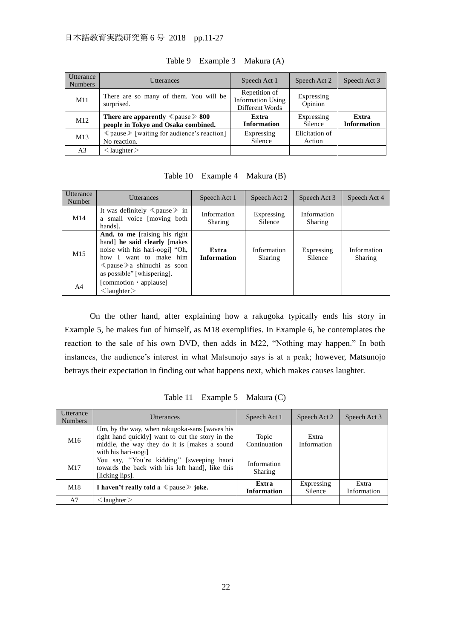| <b>Utterance</b><br><b>Numbers</b> | <b>Utterances</b>                                                                        | Speech Act 1                                                 | Speech Act 2             | Speech Act 3                |
|------------------------------------|------------------------------------------------------------------------------------------|--------------------------------------------------------------|--------------------------|-----------------------------|
| M11                                | There are so many of them. You will be<br>surprised.                                     | Repetition of<br><b>Information Using</b><br>Different Words | Expressing<br>Opinion    |                             |
| M12                                | <b>There are apparently</b> $\ll$ pause $\gg$ 800<br>people in Tokyo and Osaka combined. | Extra<br><b>Information</b>                                  | Expressing<br>Silence    | Extra<br><b>Information</b> |
| M13                                | $\langle$ pause $\rangle$ [waiting for audience's reaction]<br>No reaction.              | Expressing<br>Silence                                        | Elicitation of<br>Action |                             |
| A3                                 | $\leq$ laughter $>$                                                                      |                                                              |                          |                             |

Table 9 Example 3 Makura (A)

Table 10 Example 4 Makura (B)

| <b>Utterance</b><br>Number | <b>Utterances</b>                                                                                                                                                                                       | Speech Act 1                | Speech Act 2           | Speech Act 3           | Speech Act 4                  |
|----------------------------|---------------------------------------------------------------------------------------------------------------------------------------------------------------------------------------------------------|-----------------------------|------------------------|------------------------|-------------------------------|
| M <sub>14</sub>            | It was definitely $\ll$ pause $\gg$ in<br>a small voice [moving both]<br>hands].                                                                                                                        | Information<br>Sharing      | Expressing<br>Silence  | Information<br>Sharing |                               |
| M15                        | And, to me [raising his right<br>hand he said clearly [makes]<br>noise with his hari-oogi] "Oh,<br>how I want to make him<br>$\langle$ pause $\rangle$ a shinuchi as soon<br>as possible" [whispering]. | Extra<br><b>Information</b> | Information<br>Sharing | Expressing<br>Silence  | Information<br><b>Sharing</b> |
| A4                         | [commotion $\cdot$ applause]<br>$\langle$ laughter $\rangle$                                                                                                                                            |                             |                        |                        |                               |

On the other hand, after explaining how a rakugoka typically ends his story in Example 5, he makes fun of himself, as M18 exemplifies. In Example 6, he contemplates the reaction to the sale of his own DVD, then adds in M22, "Nothing may happen." In both instances, the audience's interest in what Matsunojo says is at a peak; however, Matsunojo betrays their expectation in finding out what happens next, which makes causes laughter.

**Utterance** Numbers Utterances Utterances Speech Act 1 Speech Act 2 Speech Act 3 M16 Um, by the way, when rakugoka-sans [waves his right hand quickly] want to cut the story in the middle, the way they do it is [makes a sound with his hari-oogi] Topic Continuation Extra Information M17 You say, ''You're kidding'' [sweeping haori towards the back with his left hand], like this [licking lips] Information Sharing M18 **I haven't really told a** <sup>≪</sup>pause<sup>≫</sup> **joke. Extra Information** Expressing Silence Extra Information A7 |  $\langle$  laughter  $\rangle$ 

Table 11 Example 5 Makura (C)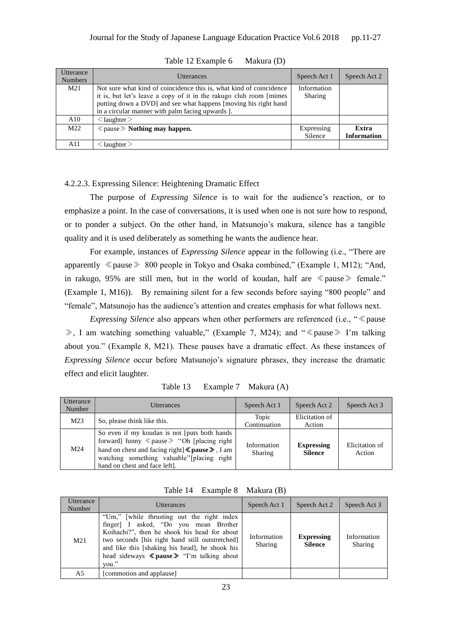| <b>Utterance</b><br><b>Numbers</b> | <b>Utterances</b>                                                                                                                                                                                                                                                 | Speech Act 1           | Speech Act 2                |
|------------------------------------|-------------------------------------------------------------------------------------------------------------------------------------------------------------------------------------------------------------------------------------------------------------------|------------------------|-----------------------------|
| M21                                | Not sure what kind of coincidence this is, what kind of coincidence<br>it is, but let's leave a copy of it in the rakugo club room [mimes]<br>putting down a DVD] and see what happens [moving his right hand<br>in a circular manner with palm facing upwards ]. | Information<br>Sharing |                             |
| A10                                | $\langle$ laughter $\rangle$                                                                                                                                                                                                                                      |                        |                             |
| M22                                | $\ll$ pause $\gg$ Nothing may happen.                                                                                                                                                                                                                             | Expressing<br>Silence  | Extra<br><b>Information</b> |
| A11                                | $\leq$ laughter $>$                                                                                                                                                                                                                                               |                        |                             |

Table 12 Example 6 Makura (D)

### 4.2.2.3. Expressing Silence: Heightening Dramatic Effect

The purpose of *Expressing Silence* is to wait for the audience's reaction, or to emphasize a point. In the case of conversations, it is used when one is not sure how to respond, or to ponder a subject. On the other hand, in Matsunojo's makura, silence has a tangible quality and it is used deliberately as something he wants the audience hear.

For example, instances of *Expressing Silence* appear in the following (i.e., "There are apparently ≪pause≫ 800 people in Tokyo and Osaka combined," (Example 1, M12); "And, in rakugo, 95% are still men, but in the world of koudan, half are ≪pause≫ female." (Example 1, M16)). By remaining silent for a few seconds before saying "800 people" and "female", Matsunojo has the audience's attention and creates emphasis for what follows next.

*Expressing Silence* also appears when other performers are referenced (i.e., " ≪ pause ≫, I am watching something valuable," (Example 7, M24); and "≪pause≫ I'm talking about you." (Example 8, M21). These pauses have a dramatic effect. As these instances of *Expressing Silence* occur before Matsunojo's signature phrases, they increase the dramatic effect and elicit laughter.

| <b>Utterance</b><br>Number | <b>Utterances</b>                                                                                                                                                                                                                                          | Speech Act 1           | Speech Act 2                        | Speech Act 3             |
|----------------------------|------------------------------------------------------------------------------------------------------------------------------------------------------------------------------------------------------------------------------------------------------------|------------------------|-------------------------------------|--------------------------|
| M <sub>23</sub>            | So, please think like this.                                                                                                                                                                                                                                | Topic<br>Continuation  | Elicitation of<br>Action            |                          |
| M24                        | So even if my koudan is not [puts both hands]<br>forward] funny $\langle$ pause $\rangle$ "Oh [placing right]<br>hand on chest and facing right $\leq$ pause $\geq$ , I am<br>watching something valuable"[placing right]<br>hand on chest and face left]. | Information<br>Sharing | <b>Expressing</b><br><b>Silence</b> | Elicitation of<br>Action |

Table 13 Example 7 Makura (A)

| Table 14 | Example 8 | Makura (B) |
|----------|-----------|------------|
|----------|-----------|------------|

| Utterance<br>Number | Utterances                                                                                                                                                                                                                                                                                                             | Speech Act 1                  | Speech Act 2                        | Speech Act 3           |
|---------------------|------------------------------------------------------------------------------------------------------------------------------------------------------------------------------------------------------------------------------------------------------------------------------------------------------------------------|-------------------------------|-------------------------------------|------------------------|
| M <sub>21</sub>     | "Um," while thrusting out the right index<br>finger] I asked, "Do you mean Brother<br>Koihachi?", then he shook his head for about<br>two seconds [his right hand still outstretched]<br>and like this [shaking his head], he shook his<br>head sideways $\langle \rangle$ pause $\rangle$ "I'm talking about<br>vou." | Information<br><b>Sharing</b> | <b>Expressing</b><br><b>Silence</b> | Information<br>Sharing |
| A5                  | [commotion and applause]                                                                                                                                                                                                                                                                                               |                               |                                     |                        |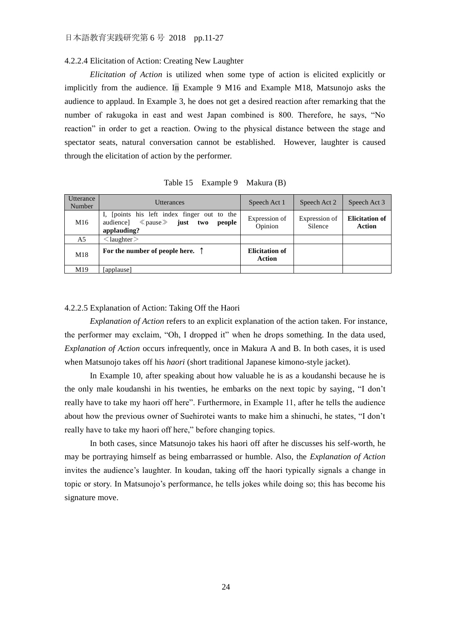#### 4.2.2.4 Elicitation of Action: Creating New Laughter

*Elicitation of Action* is utilized when some type of action is elicited explicitly or implicitly from the audience. In Example 9 M16 and Example M18, Matsunojo asks the audience to applaud. In Example 3, he does not get a desired reaction after remarking that the number of rakugoka in east and west Japan combined is 800. Therefore, he says, "No reaction" in order to get a reaction. Owing to the physical distance between the stage and spectator seats, natural conversation cannot be established. However, laughter is caused through the elicitation of action by the performer.

|  | Table 15 Example 9 Makura (B) |  |  |
|--|-------------------------------|--|--|
|--|-------------------------------|--|--|

| Utterance<br>Number | <b>Utterances</b>                                                                                                           | Speech Act 1                    | Speech Act 2             | Speech Act 3                    |
|---------------------|-----------------------------------------------------------------------------------------------------------------------------|---------------------------------|--------------------------|---------------------------------|
| M16                 | I, [points his left index finger out to the<br>audience] $\langle$ pause $\rangle$ <b>iust two</b><br>people<br>applauding? | Expression of<br>Opinion        | Expression of<br>Silence | <b>Elicitation of</b><br>Action |
| A5                  | $\langle$ laughter $\rangle$                                                                                                |                                 |                          |                                 |
| M18                 | For the number of people here. $\uparrow$                                                                                   | <b>Elicitation of</b><br>Action |                          |                                 |
| M19                 | [applause]                                                                                                                  |                                 |                          |                                 |

## 4.2.2.5 Explanation of Action: Taking Off the Haori

*Explanation of Action* refers to an explicit explanation of the action taken. For instance, the performer may exclaim, "Oh, I dropped it" when he drops something. In the data used, *Explanation of Action* occurs infrequently, once in Makura A and B. In both cases, it is used when Matsunojo takes off his *haori* (short traditional Japanese kimono-style jacket).

In Example 10, after speaking about how valuable he is as a koudanshi because he is the only male koudanshi in his twenties, he embarks on the next topic by saying, "I don't really have to take my haori off here". Furthermore, in Example 11, after he tells the audience about how the previous owner of Suehirotei wants to make him a shinuchi, he states, "I don't really have to take my haori off here," before changing topics.

In both cases, since Matsunojo takes his haori off after he discusses his self-worth, he may be portraying himself as being embarrassed or humble. Also, the *Explanation of Action* invites the audience's laughter. In koudan, taking off the haori typically signals a change in topic or story. In Matsunojo's performance, he tells jokes while doing so; this has become his signature move.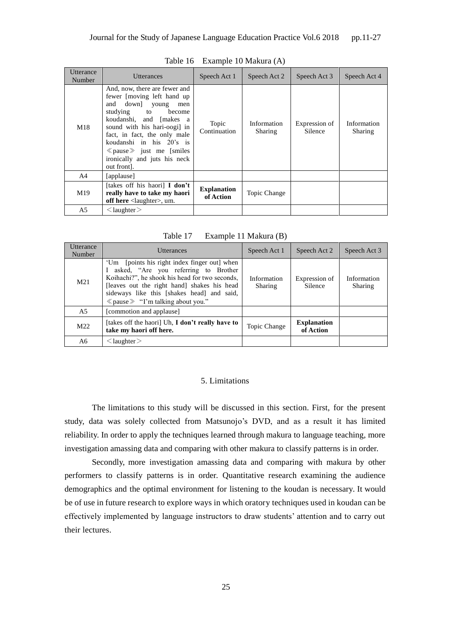| Utterance<br>Number | <b>Utterances</b>                                                                                                                                                                                                                                                                                                                              | Speech Act 1                    | Speech Act 2           | Speech Act 3             | Speech Act 4           |
|---------------------|------------------------------------------------------------------------------------------------------------------------------------------------------------------------------------------------------------------------------------------------------------------------------------------------------------------------------------------------|---------------------------------|------------------------|--------------------------|------------------------|
| M18                 | And, now, there are fewer and<br>fewer [moving left hand up<br>down]<br>and<br>young<br>men<br>studying to<br>become<br>koudanshi, and [makes a<br>sound with his hari-oogi in<br>fact, in fact, the only male<br>koudanshi in his 20's is<br>$\langle \rangle$ pause $\rangle$ just me [smiles]<br>ironically and juts his neck<br>out front. | Topic<br>Continuation           | Information<br>Sharing | Expression of<br>Silence | Information<br>Sharing |
| A4                  | [applause]                                                                                                                                                                                                                                                                                                                                     |                                 |                        |                          |                        |
| M19                 | [takes off his haori] <b>I don't</b><br>really have to take my haori<br>off here $\langle$ laughter $\rangle$ , um.                                                                                                                                                                                                                            | <b>Explanation</b><br>of Action | Topic Change           |                          |                        |
| A5                  | $\langle$ laughter $\rangle$                                                                                                                                                                                                                                                                                                                   |                                 |                        |                          |                        |

Table 16 Example 10 Makura (A)

Table 17 Example 11 Makura (B)

| Utterance<br>Number | <b>Utterances</b>                                                                                                                                                                                                                                                                           | Speech Act 1           | Speech Act 2                    | Speech Act 3           |
|---------------------|---------------------------------------------------------------------------------------------------------------------------------------------------------------------------------------------------------------------------------------------------------------------------------------------|------------------------|---------------------------------|------------------------|
| M <sub>21</sub>     | 'Um [points his right index finger out] when<br>I asked, "Are you referring to Brother<br>Koihachi?", he shook his head for two seconds,<br>[leaves out the right hand] shakes his head<br>sideways like this [shakes head] and said,<br>$\langle$ pause $\rangle$ "I'm talking about you." | Information<br>Sharing | Expression of<br>Silence        | Information<br>Sharing |
| A5                  | [commotion and applause]                                                                                                                                                                                                                                                                    |                        |                                 |                        |
| M <sub>22</sub>     | [takes off the haori] Uh, I don't really have to<br>take my haori off here.                                                                                                                                                                                                                 | Topic Change           | <b>Explanation</b><br>of Action |                        |
| A6                  | $\langle$ laughter $\rangle$                                                                                                                                                                                                                                                                |                        |                                 |                        |

#### 5. Limitations

The limitations to this study will be discussed in this section. First, for the present study, data was solely collected from Matsunojo's DVD, and as a result it has limited reliability. In order to apply the techniques learned through makura to language teaching, more investigation amassing data and comparing with other makura to classify patterns is in order.

Secondly, more investigation amassing data and comparing with makura by other performers to classify patterns is in order. Quantitative research examining the audience demographics and the optimal environment for listening to the koudan is necessary. It would be of use in future research to explore ways in which oratory techniques used in koudan can be effectively implemented by language instructors to draw students' attention and to carry out their lectures.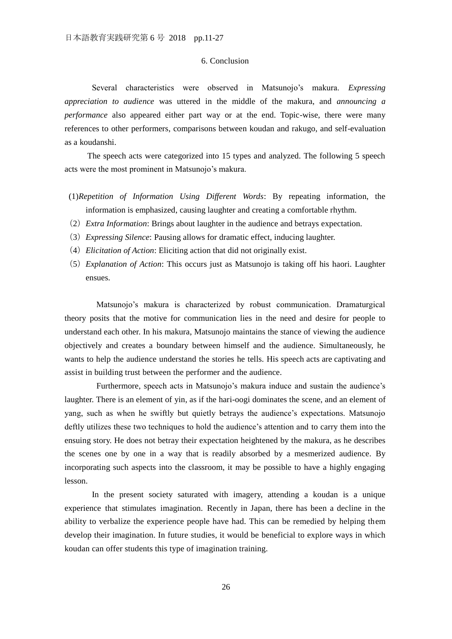### 6. Conclusion

Several characteristics were observed in Matsunojo's makura. *Expressing appreciation to audience* was uttered in the middle of the makura, and *announcing a performance* also appeared either part way or at the end. Topic-wise, there were many references to other performers, comparisons between koudan and rakugo, and self-evaluation as a koudanshi.

The speech acts were categorized into 15 types and analyzed. The following 5 speech acts were the most prominent in Matsunojo's makura.

- (1)*Repetition of Information Using Different Words*: By repeating information, the information is emphasized, causing laughter and creating a comfortable rhythm.
- (2)*Extra Information*: Brings about laughter in the audience and betrays expectation.
- (3)*Expressing Silence*: Pausing allows for dramatic effect, inducing laughter.
- (4)*Elicitation of Action*: Eliciting action that did not originally exist.
- (5)*Explanation of Action*: This occurs just as Matsunojo is taking off his haori. Laughter ensues.

Matsunojo's makura is characterized by robust communication. Dramaturgical theory posits that the motive for communication lies in the need and desire for people to understand each other. In his makura, Matsunojo maintains the stance of viewing the audience objectively and creates a boundary between himself and the audience. Simultaneously, he wants to help the audience understand the stories he tells. His speech acts are captivating and assist in building trust between the performer and the audience.

Furthermore, speech acts in Matsunojo's makura induce and sustain the audience's laughter. There is an element of yin, as if the hari-oogi dominates the scene, and an element of yang, such as when he swiftly but quietly betrays the audience's expectations. Matsunojo deftly utilizes these two techniques to hold the audience's attention and to carry them into the ensuing story. He does not betray their expectation heightened by the makura, as he describes the scenes one by one in a way that is readily absorbed by a mesmerized audience. By incorporating such aspects into the classroom, it may be possible to have a highly engaging lesson.

In the present society saturated with imagery, attending a koudan is a unique experience that stimulates imagination. Recently in Japan, there has been a decline in the ability to verbalize the experience people have had. This can be remedied by helping them develop their imagination. In future studies, it would be beneficial to explore ways in which koudan can offer students this type of imagination training.